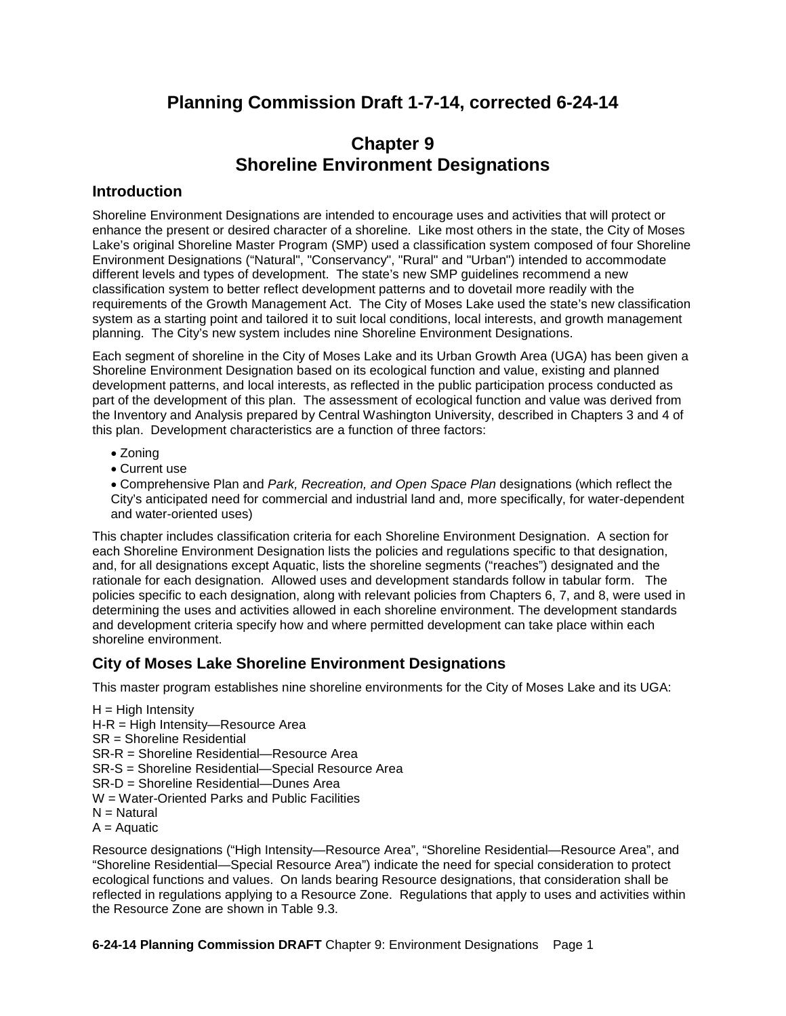# **Planning Commission Draft 1-7-14, corrected 6-24-14**

# **Chapter 9 Shoreline Environment Designations**

## **Introduction**

Shoreline Environment Designations are intended to encourage uses and activities that will protect or enhance the present or desired character of a shoreline. Like most others in the state, the City of Moses Lake's original Shoreline Master Program (SMP) used a classification system composed of four Shoreline Environment Designations ("Natural", "Conservancy", "Rural" and "Urban") intended to accommodate different levels and types of development. The state's new SMP guidelines recommend a new classification system to better reflect development patterns and to dovetail more readily with the requirements of the Growth Management Act. The City of Moses Lake used the state's new classification system as a starting point and tailored it to suit local conditions, local interests, and growth management planning. The City's new system includes nine Shoreline Environment Designations.

Each segment of shoreline in the City of Moses Lake and its Urban Growth Area (UGA) has been given a Shoreline Environment Designation based on its ecological function and value, existing and planned development patterns, and local interests, as reflected in the public participation process conducted as part of the development of this plan. The assessment of ecological function and value was derived from the Inventory and Analysis prepared by Central Washington University, described in Chapters 3 and 4 of this plan. Development characteristics are a function of three factors:

- Zoning
- Current use

• Comprehensive Plan and *Park, Recreation, and Open Space Plan* designations (which reflect the City's anticipated need for commercial and industrial land and, more specifically, for water-dependent and water-oriented uses)

This chapter includes classification criteria for each Shoreline Environment Designation. A section for each Shoreline Environment Designation lists the policies and regulations specific to that designation, and, for all designations except Aquatic, lists the shoreline segments ("reaches") designated and the rationale for each designation. Allowed uses and development standards follow in tabular form. The policies specific to each designation, along with relevant policies from Chapters 6, 7, and 8, were used in determining the uses and activities allowed in each shoreline environment. The development standards and development criteria specify how and where permitted development can take place within each shoreline environment.

# **City of Moses Lake Shoreline Environment Designations**

This master program establishes nine shoreline environments for the City of Moses Lake and its UGA:

 $H = High Intensity$ H-R = High Intensity—Resource Area SR = Shoreline Residential SR-R = Shoreline Residential—Resource Area SR-S = Shoreline Residential—Special Resource Area SR-D = Shoreline Residential—Dunes Area W = Water-Oriented Parks and Public Facilities  $N =$  Natural  $A = A$ quatic

Resource designations ("High Intensity—Resource Area", "Shoreline Residential—Resource Area", and "Shoreline Residential—Special Resource Area") indicate the need for special consideration to protect ecological functions and values. On lands bearing Resource designations, that consideration shall be reflected in regulations applying to a Resource Zone. Regulations that apply to uses and activities within the Resource Zone are shown in Table 9.3.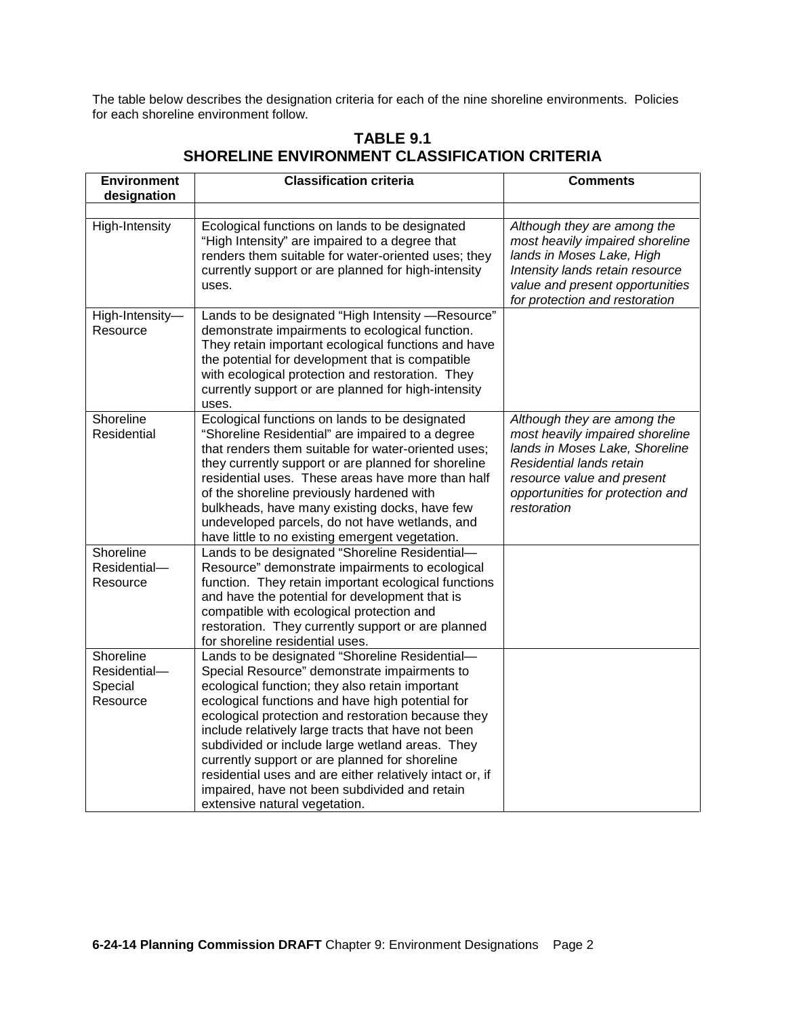The table below describes the designation criteria for each of the nine shoreline environments. Policies for each shoreline environment follow.

| <b>Environment</b><br>designation | <b>Classification criteria</b>                                                                                                                                                                                                                                                                                                                                                                                                                                           | <b>Comments</b>                                                                                                                                                                                               |
|-----------------------------------|--------------------------------------------------------------------------------------------------------------------------------------------------------------------------------------------------------------------------------------------------------------------------------------------------------------------------------------------------------------------------------------------------------------------------------------------------------------------------|---------------------------------------------------------------------------------------------------------------------------------------------------------------------------------------------------------------|
|                                   |                                                                                                                                                                                                                                                                                                                                                                                                                                                                          |                                                                                                                                                                                                               |
| High-Intensity                    | Ecological functions on lands to be designated<br>"High Intensity" are impaired to a degree that<br>renders them suitable for water-oriented uses; they<br>currently support or are planned for high-intensity<br>uses.                                                                                                                                                                                                                                                  | Although they are among the<br>most heavily impaired shoreline<br>lands in Moses Lake, High<br>Intensity lands retain resource<br>value and present opportunities<br>for protection and restoration           |
| High-Intensity-<br>Resource       | Lands to be designated "High Intensity -Resource"<br>demonstrate impairments to ecological function.<br>They retain important ecological functions and have<br>the potential for development that is compatible<br>with ecological protection and restoration. They<br>currently support or are planned for high-intensity<br>uses.                                                                                                                                      |                                                                                                                                                                                                               |
| Shoreline<br>Residential          | Ecological functions on lands to be designated<br>"Shoreline Residential" are impaired to a degree<br>that renders them suitable for water-oriented uses;<br>they currently support or are planned for shoreline<br>residential uses. These areas have more than half<br>of the shoreline previously hardened with<br>bulkheads, have many existing docks, have few<br>undeveloped parcels, do not have wetlands, and<br>have little to no existing emergent vegetation. | Although they are among the<br>most heavily impaired shoreline<br>lands in Moses Lake, Shoreline<br>Residential lands retain<br>resource value and present<br>opportunities for protection and<br>restoration |
| Shoreline                         | Lands to be designated "Shoreline Residential-                                                                                                                                                                                                                                                                                                                                                                                                                           |                                                                                                                                                                                                               |
| Residential-                      | Resource" demonstrate impairments to ecological                                                                                                                                                                                                                                                                                                                                                                                                                          |                                                                                                                                                                                                               |
| Resource                          | function. They retain important ecological functions<br>and have the potential for development that is<br>compatible with ecological protection and<br>restoration. They currently support or are planned<br>for shoreline residential uses.                                                                                                                                                                                                                             |                                                                                                                                                                                                               |
| Shoreline                         | Lands to be designated "Shoreline Residential-                                                                                                                                                                                                                                                                                                                                                                                                                           |                                                                                                                                                                                                               |
| Residential-                      | Special Resource" demonstrate impairments to                                                                                                                                                                                                                                                                                                                                                                                                                             |                                                                                                                                                                                                               |
| Special                           | ecological function; they also retain important                                                                                                                                                                                                                                                                                                                                                                                                                          |                                                                                                                                                                                                               |
| Resource                          | ecological functions and have high potential for                                                                                                                                                                                                                                                                                                                                                                                                                         |                                                                                                                                                                                                               |
|                                   | ecological protection and restoration because they                                                                                                                                                                                                                                                                                                                                                                                                                       |                                                                                                                                                                                                               |
|                                   | include relatively large tracts that have not been                                                                                                                                                                                                                                                                                                                                                                                                                       |                                                                                                                                                                                                               |
|                                   | subdivided or include large wetland areas. They                                                                                                                                                                                                                                                                                                                                                                                                                          |                                                                                                                                                                                                               |
|                                   | currently support or are planned for shoreline                                                                                                                                                                                                                                                                                                                                                                                                                           |                                                                                                                                                                                                               |
|                                   | residential uses and are either relatively intact or, if                                                                                                                                                                                                                                                                                                                                                                                                                 |                                                                                                                                                                                                               |
|                                   | impaired, have not been subdivided and retain                                                                                                                                                                                                                                                                                                                                                                                                                            |                                                                                                                                                                                                               |
|                                   | extensive natural vegetation.                                                                                                                                                                                                                                                                                                                                                                                                                                            |                                                                                                                                                                                                               |

# **TABLE 9.1 SHORELINE ENVIRONMENT CLASSIFICATION CRITERIA**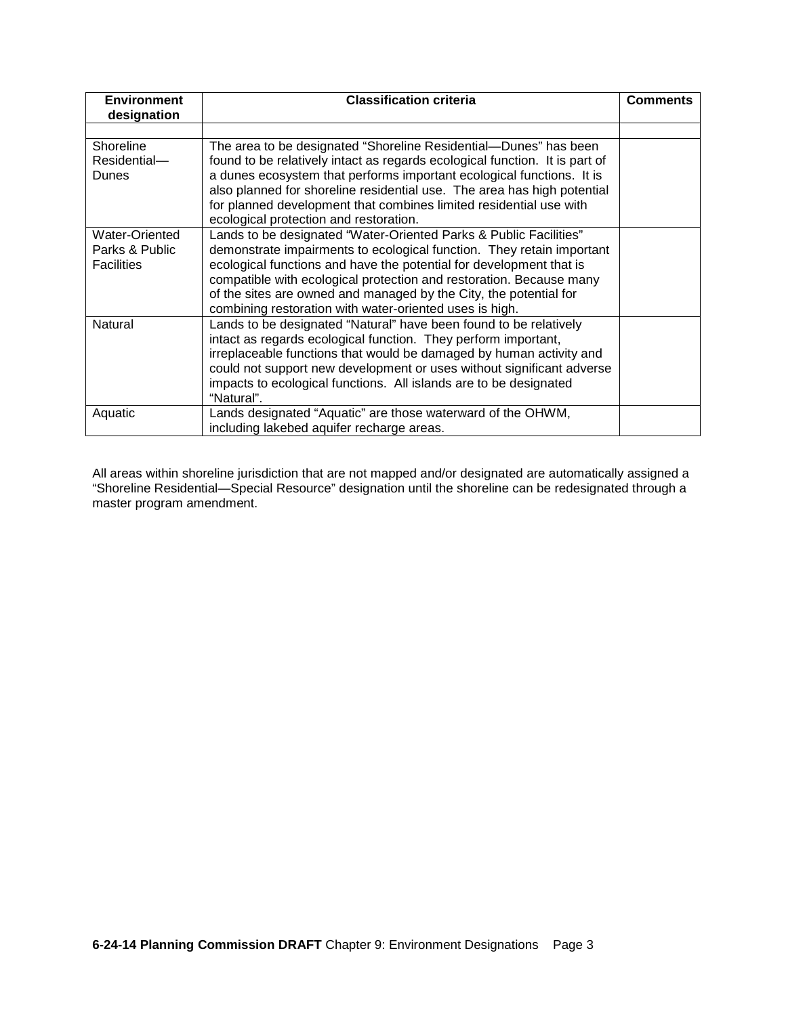| <b>Environment</b> | <b>Classification criteria</b>                                              | <b>Comments</b> |
|--------------------|-----------------------------------------------------------------------------|-----------------|
| designation        |                                                                             |                 |
|                    |                                                                             |                 |
| Shoreline          | The area to be designated "Shoreline Residential—Dunes" has been            |                 |
| Residential-       | found to be relatively intact as regards ecological function. It is part of |                 |
| Dunes              | a dunes ecosystem that performs important ecological functions. It is       |                 |
|                    | also planned for shoreline residential use. The area has high potential     |                 |
|                    | for planned development that combines limited residential use with          |                 |
|                    | ecological protection and restoration.                                      |                 |
| Water-Oriented     | Lands to be designated "Water-Oriented Parks & Public Facilities"           |                 |
| Parks & Public     | demonstrate impairments to ecological function. They retain important       |                 |
| <b>Facilities</b>  | ecological functions and have the potential for development that is         |                 |
|                    | compatible with ecological protection and restoration. Because many         |                 |
|                    | of the sites are owned and managed by the City, the potential for           |                 |
|                    | combining restoration with water-oriented uses is high.                     |                 |
| Natural            | Lands to be designated "Natural" have been found to be relatively           |                 |
|                    | intact as regards ecological function. They perform important,              |                 |
|                    | irreplaceable functions that would be damaged by human activity and         |                 |
|                    | could not support new development or uses without significant adverse       |                 |
|                    | impacts to ecological functions. All islands are to be designated           |                 |
|                    | "Natural".                                                                  |                 |
| Aquatic            | Lands designated "Aquatic" are those waterward of the OHWM,                 |                 |
|                    | including lakebed aquifer recharge areas.                                   |                 |

All areas within shoreline jurisdiction that are not mapped and/or designated are automatically assigned a "Shoreline Residential—Special Resource" designation until the shoreline can be redesignated through a master program amendment.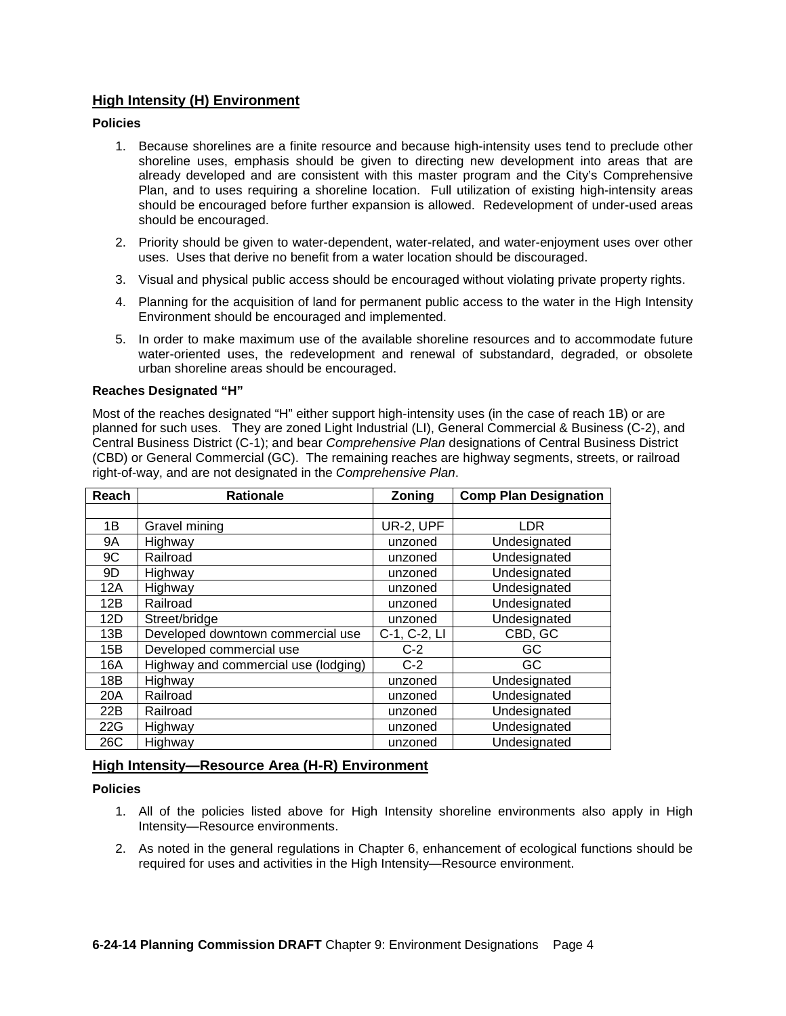## **High Intensity (H) Environment**

#### **Policies**

- 1. Because shorelines are a finite resource and because high-intensity uses tend to preclude other shoreline uses, emphasis should be given to directing new development into areas that are already developed and are consistent with this master program and the City's Comprehensive Plan, and to uses requiring a shoreline location. Full utilization of existing high-intensity areas should be encouraged before further expansion is allowed. Redevelopment of under-used areas should be encouraged.
- 2. Priority should be given to water-dependent, water-related, and water-enjoyment uses over other uses. Uses that derive no benefit from a water location should be discouraged.
- 3. Visual and physical public access should be encouraged without violating private property rights.
- 4. Planning for the acquisition of land for permanent public access to the water in the High Intensity Environment should be encouraged and implemented.
- 5. In order to make maximum use of the available shoreline resources and to accommodate future water-oriented uses, the redevelopment and renewal of substandard, degraded, or obsolete urban shoreline areas should be encouraged.

#### **Reaches Designated "H"**

Most of the reaches designated "H" either support high-intensity uses (in the case of reach 1B) or are planned for such uses. They are zoned Light Industrial (LI), General Commercial & Business (C-2), and Central Business District (C-1); and bear *Comprehensive Plan* designations of Central Business District (CBD) or General Commercial (GC). The remaining reaches are highway segments, streets, or railroad right-of-way, and are not designated in the *Comprehensive Plan*.

| Reach | <b>Rationale</b>                     | Zoning       | <b>Comp Plan Designation</b> |
|-------|--------------------------------------|--------------|------------------------------|
|       |                                      |              |                              |
| 1B    | Gravel mining                        | UR-2, UPF    | LDR.                         |
| 9A    | Highway                              | unzoned      | Undesignated                 |
| 9C    | Railroad                             | unzoned      | Undesignated                 |
| 9D    | Highway                              | unzoned      | Undesignated                 |
| 12A   | Highway                              | unzoned      | Undesignated                 |
| 12B   | Railroad                             | unzoned      | Undesignated                 |
| 12D   | Street/bridge                        | unzoned      | Undesignated                 |
| 13B   | Developed downtown commercial use    | C-1, C-2, LI | CBD, GC                      |
| 15B   | Developed commercial use             | $C-2$        | GC                           |
| 16A   | Highway and commercial use (lodging) | $C-2$        | GC                           |
| 18B   | Highway                              | unzoned      | Undesignated                 |
| 20A   | Railroad                             | unzoned      | Undesignated                 |
| 22B   | Railroad                             | unzoned      | Undesignated                 |
| 22G   | Highway                              | unzoned      | Undesignated                 |
| 26C   | Highway                              | unzoned      | Undesignated                 |

## **High Intensity—Resource Area (H-R) Environment**

#### **Policies**

- 1. All of the policies listed above for High Intensity shoreline environments also apply in High Intensity—Resource environments.
- 2. As noted in the general regulations in Chapter 6, enhancement of ecological functions should be required for uses and activities in the High Intensity—Resource environment.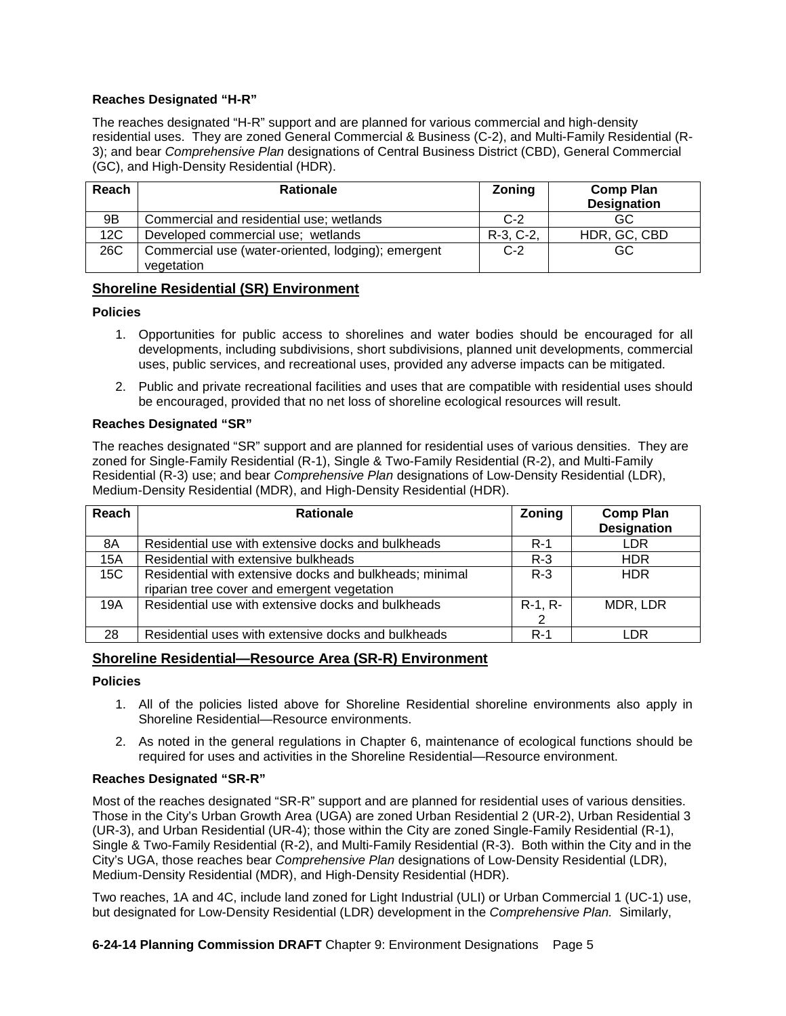## **Reaches Designated "H-R"**

The reaches designated "H-R" support and are planned for various commercial and high-density residential uses. They are zoned General Commercial & Business (C-2), and Multi-Family Residential (R-3); and bear *Comprehensive Plan* designations of Central Business District (CBD), General Commercial (GC), and High-Density Residential (HDR).

| Reach | <b>Rationale</b>                                   | Zoning    | <b>Comp Plan</b><br><b>Designation</b> |
|-------|----------------------------------------------------|-----------|----------------------------------------|
| 9B    | Commercial and residential use; wetlands           | $C-2$     | GC                                     |
| 12C   | Developed commercial use; wetlands                 | R-3, C-2, | HDR, GC, CBD                           |
| 26C   | Commercial use (water-oriented, lodging); emergent | $C-2$     | GC.                                    |
|       | vegetation                                         |           |                                        |

## **Shoreline Residential (SR) Environment**

#### **Policies**

- 1. Opportunities for public access to shorelines and water bodies should be encouraged for all developments, including subdivisions, short subdivisions, planned unit developments, commercial uses, public services, and recreational uses, provided any adverse impacts can be mitigated.
- 2. Public and private recreational facilities and uses that are compatible with residential uses should be encouraged, provided that no net loss of shoreline ecological resources will result.

## **Reaches Designated "SR"**

The reaches designated "SR" support and are planned for residential uses of various densities. They are zoned for Single-Family Residential (R-1), Single & Two-Family Residential (R-2), and Multi-Family Residential (R-3) use; and bear *Comprehensive Plan* designations of Low-Density Residential (LDR), Medium-Density Residential (MDR), and High-Density Residential (HDR).

| Reach | <b>Rationale</b>                                        | Zoning    | <b>Comp Plan</b>   |
|-------|---------------------------------------------------------|-----------|--------------------|
|       |                                                         |           | <b>Designation</b> |
| 8A    | Residential use with extensive docks and bulkheads      | $R-1$     | <b>LDR</b>         |
| 15A   | Residential with extensive bulkheads                    | $R-3$     | <b>HDR</b>         |
| 15C   | Residential with extensive docks and bulkheads; minimal | $R - 3$   | <b>HDR</b>         |
|       | riparian tree cover and emergent vegetation             |           |                    |
| 19A   | Residential use with extensive docks and bulkheads      | $R-1, R-$ | MDR, LDR           |
|       |                                                         |           |                    |
| 28    | Residential uses with extensive docks and bulkheads     | $R-1$     | - DR               |

## **Shoreline Residential—Resource Area (SR-R) Environment**

#### **Policies**

- 1. All of the policies listed above for Shoreline Residential shoreline environments also apply in Shoreline Residential—Resource environments.
- 2. As noted in the general regulations in Chapter 6, maintenance of ecological functions should be required for uses and activities in the Shoreline Residential—Resource environment.

#### **Reaches Designated "SR-R"**

Most of the reaches designated "SR-R" support and are planned for residential uses of various densities. Those in the City's Urban Growth Area (UGA) are zoned Urban Residential 2 (UR-2), Urban Residential 3 (UR-3), and Urban Residential (UR-4); those within the City are zoned Single-Family Residential (R-1), Single & Two-Family Residential (R-2), and Multi-Family Residential (R-3). Both within the City and in the City's UGA, those reaches bear *Comprehensive Plan* designations of Low-Density Residential (LDR), Medium-Density Residential (MDR), and High-Density Residential (HDR).

Two reaches, 1A and 4C, include land zoned for Light Industrial (ULI) or Urban Commercial 1 (UC-1) use, but designated for Low-Density Residential (LDR) development in the *Comprehensive Plan.* Similarly,

**6-24-14 Planning Commission DRAFT** Chapter 9: Environment Designations Page 5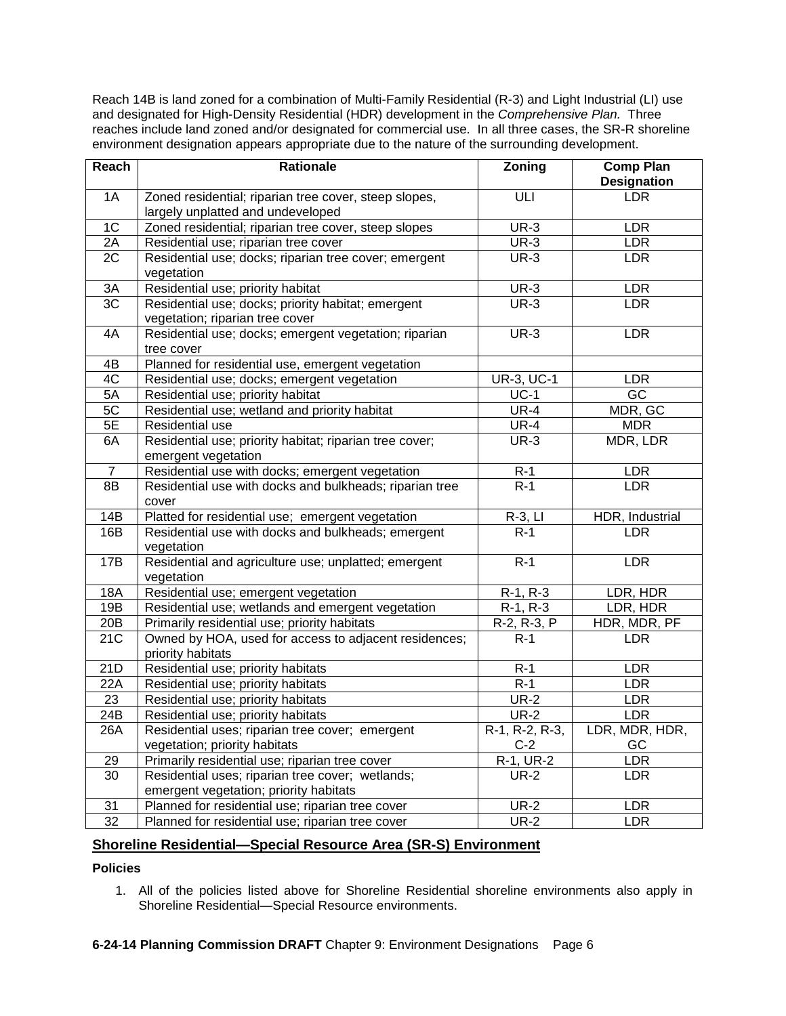Reach 14B is land zoned for a combination of Multi-Family Residential (R-3) and Light Industrial (LI) use and designated for High-Density Residential (HDR) development in the *Comprehensive Plan.* Three reaches include land zoned and/or designated for commercial use. In all three cases, the SR-R shoreline environment designation appears appropriate due to the nature of the surrounding development.

| Reach          | <b>Rationale</b>                                        | <b>Zoning</b>     | <b>Comp Plan</b><br><b>Designation</b> |
|----------------|---------------------------------------------------------|-------------------|----------------------------------------|
| 1A             | Zoned residential; riparian tree cover, steep slopes,   | ULI               | <b>LDR</b>                             |
|                | largely unplatted and undeveloped                       |                   |                                        |
| 1 <sup>C</sup> | Zoned residential; riparian tree cover, steep slopes    | $UR-3$            | <b>LDR</b>                             |
| 2A             | Residential use; riparian tree cover                    | $UR-3$            | <b>LDR</b>                             |
| 2C             | Residential use; docks; riparian tree cover; emergent   | <b>UR-3</b>       | <b>LDR</b>                             |
|                | vegetation                                              |                   |                                        |
| 3A             | Residential use; priority habitat                       | <b>UR-3</b>       | <b>LDR</b>                             |
| 3C             | Residential use; docks; priority habitat; emergent      | $UR-3$            | <b>LDR</b>                             |
|                | vegetation; riparian tree cover                         |                   |                                        |
| 4A             | Residential use; docks; emergent vegetation; riparian   | $UR-3$            | LDR                                    |
|                | tree cover                                              |                   |                                        |
| 4B             | Planned for residential use, emergent vegetation        |                   |                                        |
| 4C             | Residential use; docks; emergent vegetation             | <b>UR-3, UC-1</b> | <b>LDR</b>                             |
| 5A             | Residential use; priority habitat                       | $UC-1$            | $\overline{GC}$                        |
| 5C             | Residential use; wetland and priority habitat           | $UR-4$            | MDR, GC                                |
| 5E             | Residential use                                         | $UR-4$            | <b>MDR</b>                             |
| 6A             | Residential use; priority habitat; riparian tree cover; | $UR-3$            | MDR, LDR                               |
|                | emergent vegetation                                     |                   |                                        |
| $\overline{7}$ | Residential use with docks; emergent vegetation         | $R-1$             | <b>LDR</b>                             |
| 8B             | Residential use with docks and bulkheads; riparian tree | $R-1$             | <b>LDR</b>                             |
|                | cover                                                   |                   |                                        |
| 14B            | Platted for residential use; emergent vegetation        | $R-3$ , LI        | HDR, Industrial                        |
| 16B            | Residential use with docks and bulkheads; emergent      | $R-1$             | <b>LDR</b>                             |
|                | vegetation                                              |                   |                                        |
| 17B            | Residential and agriculture use; unplatted; emergent    | $R-1$             | <b>LDR</b>                             |
|                | vegetation                                              |                   |                                        |
| <b>18A</b>     | Residential use; emergent vegetation                    | R-1, R-3          | LDR, HDR                               |
| 19B            | Residential use; wetlands and emergent vegetation       | $R-1, R-3$        | LDR, HDR                               |
| 20B            | Primarily residential use; priority habitats            | R-2, R-3, P       | HDR, MDR, PF                           |
| 21C            | Owned by HOA, used for access to adjacent residences;   | $R-1$             | <b>LDR</b>                             |
|                | priority habitats                                       |                   |                                        |
| 21D            | Residential use; priority habitats                      | $R-1$             | <b>LDR</b>                             |
| 22A            | Residential use; priority habitats                      | $R-1$             | <b>LDR</b>                             |
| 23             | Residential use; priority habitats                      | $UR-2$            | <b>LDR</b>                             |
| 24B            | Residential use; priority habitats                      | $UR-2$            | <b>LDR</b>                             |
| 26A            | Residential uses; riparian tree cover; emergent         | $R-1, R-2, R-3,$  | LDR, MDR, HDR,                         |
|                | vegetation; priority habitats                           | $C-2$             | GC                                     |
| 29             | Primarily residential use; riparian tree cover          | R-1, UR-2         | <b>LDR</b>                             |
| 30             | Residential uses; riparian tree cover; wetlands;        | $UR-2$            | <b>LDR</b>                             |
|                | emergent vegetation; priority habitats                  |                   |                                        |
| 31             | Planned for residential use; riparian tree cover        | <b>UR-2</b>       | <b>LDR</b>                             |
| 32             | Planned for residential use; riparian tree cover        | $UR-2$            | <b>LDR</b>                             |

## **Shoreline Residential—Special Resource Area (SR-S) Environment**

## **Policies**

1. All of the policies listed above for Shoreline Residential shoreline environments also apply in Shoreline Residential—Special Resource environments.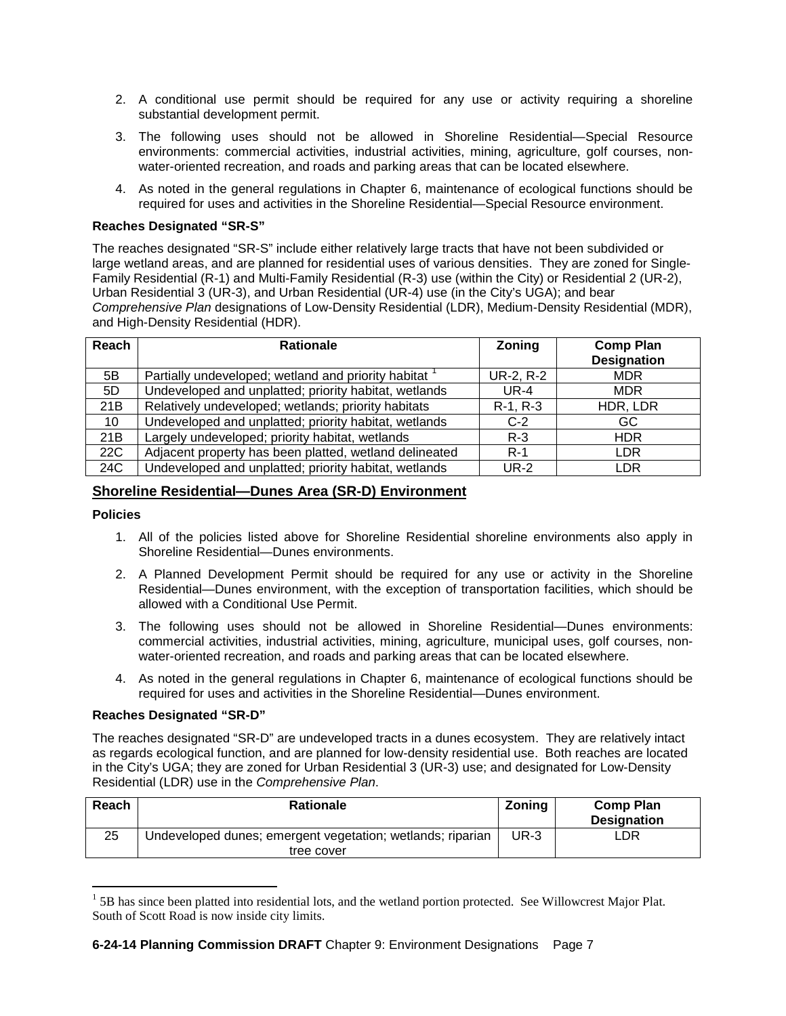- 2. A conditional use permit should be required for any use or activity requiring a shoreline substantial development permit.
- 3. The following uses should not be allowed in Shoreline Residential—Special Resource environments: commercial activities, industrial activities, mining, agriculture, golf courses, nonwater-oriented recreation, and roads and parking areas that can be located elsewhere.
- 4. As noted in the general regulations in Chapter 6, maintenance of ecological functions should be required for uses and activities in the Shoreline Residential—Special Resource environment.

## **Reaches Designated "SR-S"**

The reaches designated "SR-S" include either relatively large tracts that have not been subdivided or large wetland areas, and are planned for residential uses of various densities. They are zoned for Single-Family Residential (R-1) and Multi-Family Residential (R-3) use (within the City) or Residential 2 (UR-2), Urban Residential 3 (UR-3), and Urban Residential (UR-4) use (in the City's UGA); and bear *Comprehensive Plan* designations of Low-Density Residential (LDR), Medium-Density Residential (MDR), and High-Density Residential (HDR).

| Reach | <b>Rationale</b>                                       | Zoning      | <b>Comp Plan</b>   |
|-------|--------------------------------------------------------|-------------|--------------------|
|       |                                                        |             | <b>Designation</b> |
| 5B    | Partially undeveloped; wetland and priority habitat    | UR-2, R-2   | <b>MDR</b>         |
| 5D    | Undeveloped and unplatted; priority habitat, wetlands  | $UR-4$      | <b>MDR</b>         |
| 21B   | Relatively undeveloped; wetlands; priority habitats    | $R-1, R-3$  | HDR, LDR           |
| 10    | Undeveloped and unplatted; priority habitat, wetlands  | $C-2$       | GC                 |
| 21B   | Largely undeveloped; priority habitat, wetlands        | $R-3$       | <b>HDR</b>         |
| 22C   | Adjacent property has been platted, wetland delineated | $R-1$       | LDR                |
| 24C   | Undeveloped and unplatted; priority habitat, wetlands  | <b>UR-2</b> | LDR                |

## **Shoreline Residential—Dunes Area (SR-D) Environment**

#### **Policies**

 $\overline{a}$ 

- 1. All of the policies listed above for Shoreline Residential shoreline environments also apply in Shoreline Residential—Dunes environments.
- 2. A Planned Development Permit should be required for any use or activity in the Shoreline Residential—Dunes environment, with the exception of transportation facilities, which should be allowed with a Conditional Use Permit.
- 3. The following uses should not be allowed in Shoreline Residential—Dunes environments: commercial activities, industrial activities, mining, agriculture, municipal uses, golf courses, nonwater-oriented recreation, and roads and parking areas that can be located elsewhere.
- 4. As noted in the general regulations in Chapter 6, maintenance of ecological functions should be required for uses and activities in the Shoreline Residential—Dunes environment.

#### **Reaches Designated "SR-D"**

The reaches designated "SR-D" are undeveloped tracts in a dunes ecosystem. They are relatively intact as regards ecological function, and are planned for low-density residential use. Both reaches are located in the City's UGA; they are zoned for Urban Residential 3 (UR-3) use; and designated for Low-Density Residential (LDR) use in the *Comprehensive Plan*.

| Reach | <b>Rationale</b>                                           | Zoning | <b>Comp Plan</b><br><b>Designation</b> |
|-------|------------------------------------------------------------|--------|----------------------------------------|
| 25    | Undeveloped dunes; emergent vegetation; wetlands; riparian | UR-3   | LDR                                    |
|       | tree cover                                                 |        |                                        |

<span id="page-6-0"></span><sup>&</sup>lt;sup>1</sup> 5B has since been platted into residential lots, and the wetland portion protected. See Willowcrest Major Plat. South of Scott Road is now inside city limits.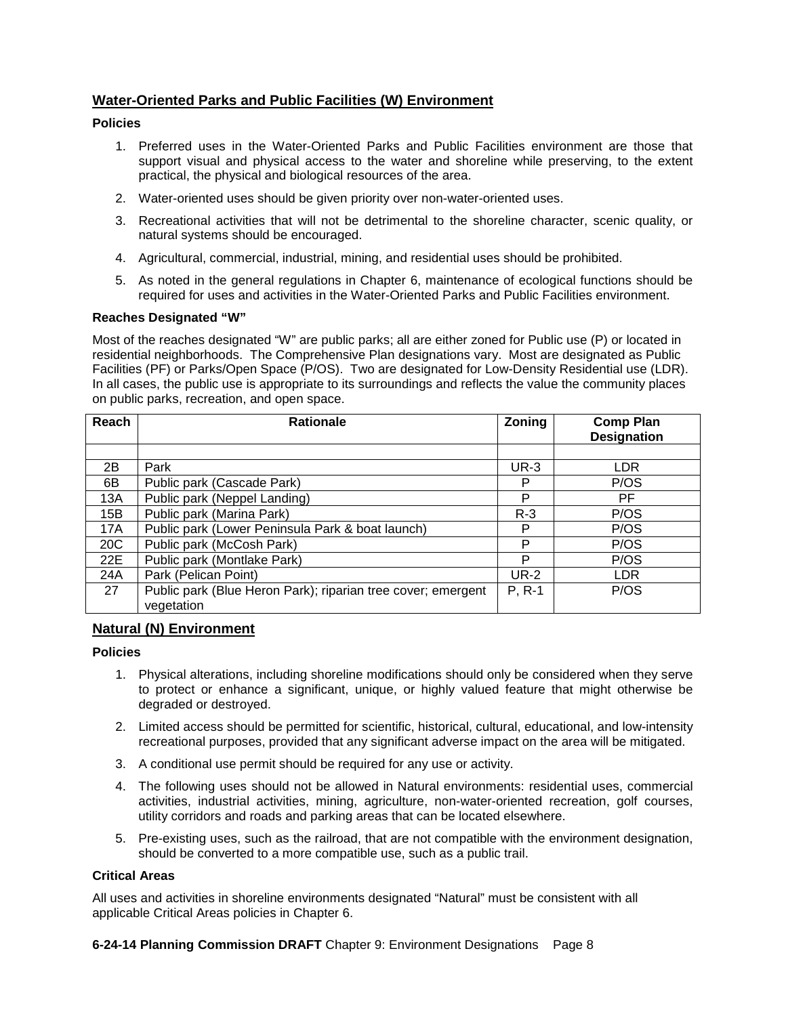# **Water-Oriented Parks and Public Facilities (W) Environment**

## **Policies**

- 1. Preferred uses in the Water-Oriented Parks and Public Facilities environment are those that support visual and physical access to the water and shoreline while preserving, to the extent practical, the physical and biological resources of the area.
- 2. Water-oriented uses should be given priority over non-water-oriented uses.
- 3. Recreational activities that will not be detrimental to the shoreline character, scenic quality, or natural systems should be encouraged.
- 4. Agricultural, commercial, industrial, mining, and residential uses should be prohibited.
- 5. As noted in the general regulations in Chapter 6, maintenance of ecological functions should be required for uses and activities in the Water-Oriented Parks and Public Facilities environment.

#### **Reaches Designated "W"**

Most of the reaches designated "W" are public parks; all are either zoned for Public use (P) or located in residential neighborhoods. The Comprehensive Plan designations vary. Most are designated as Public Facilities (PF) or Parks/Open Space (P/OS). Two are designated for Low-Density Residential use (LDR). In all cases, the public use is appropriate to its surroundings and reflects the value the community places on public parks, recreation, and open space.

| Reach | <b>Rationale</b>                                                           | Zoning      | <b>Comp Plan</b><br><b>Designation</b> |
|-------|----------------------------------------------------------------------------|-------------|----------------------------------------|
|       |                                                                            |             |                                        |
| 2B    | Park                                                                       | <b>UR-3</b> | <b>LDR</b>                             |
| 6B    | Public park (Cascade Park)                                                 | P           | P/OS                                   |
| 13A   | Public park (Neppel Landing)                                               | P           | РF                                     |
| 15B   | Public park (Marina Park)                                                  | $R-3$       | P/OS                                   |
| 17A   | Public park (Lower Peninsula Park & boat launch)                           | P           | P/OS                                   |
| 20C   | Public park (McCosh Park)                                                  | P           | P/OS                                   |
| 22E   | Public park (Montlake Park)                                                | P           | P/OS                                   |
| 24A   | Park (Pelican Point)                                                       | <b>UR-2</b> | <b>LDR</b>                             |
| 27    | Public park (Blue Heron Park); riparian tree cover; emergent<br>vegetation | P, R-1      | P/OS                                   |

## **Natural (N) Environment**

#### **Policies**

- 1. Physical alterations, including shoreline modifications should only be considered when they serve to protect or enhance a significant, unique, or highly valued feature that might otherwise be degraded or destroyed.
- 2. Limited access should be permitted for scientific, historical, cultural, educational, and low-intensity recreational purposes, provided that any significant adverse impact on the area will be mitigated.
- 3. A conditional use permit should be required for any use or activity.
- 4. The following uses should not be allowed in Natural environments: residential uses, commercial activities, industrial activities, mining, agriculture, non-water-oriented recreation, golf courses, utility corridors and roads and parking areas that can be located elsewhere.
- 5. Pre-existing uses, such as the railroad, that are not compatible with the environment designation, should be converted to a more compatible use, such as a public trail.

## **Critical Areas**

All uses and activities in shoreline environments designated "Natural" must be consistent with all applicable Critical Areas policies in Chapter 6.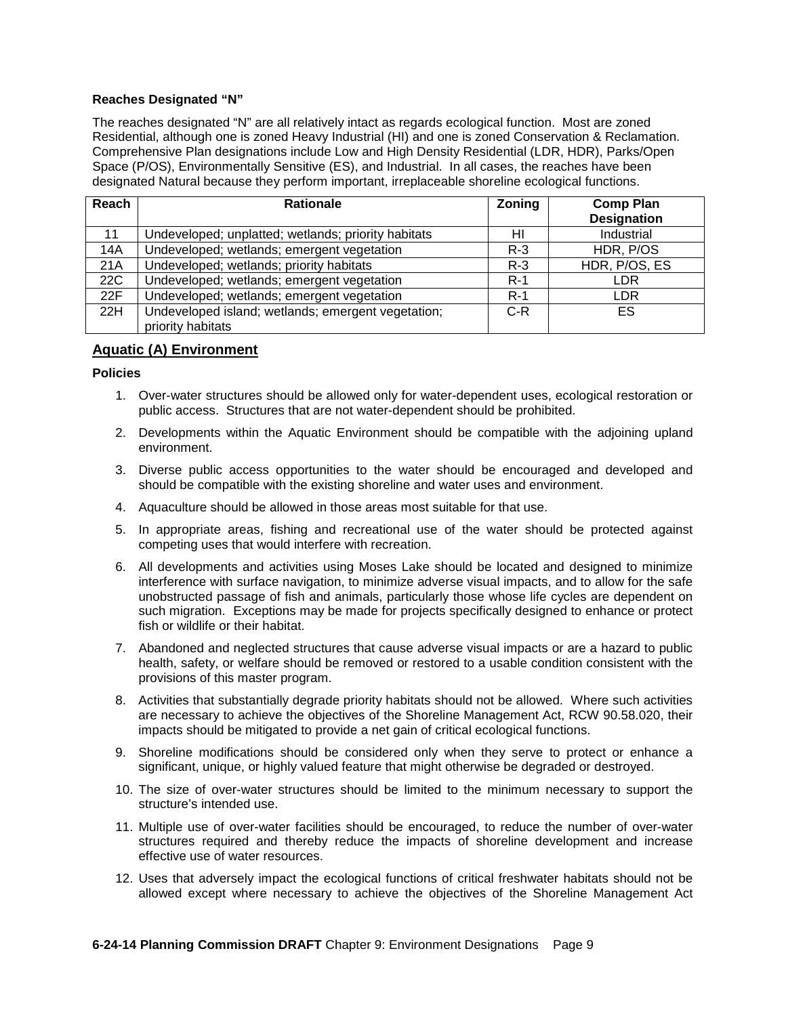#### **Reaches Designated "N"**

The reaches designated "N" are all relatively intact as regards ecological function. Most are zoned Residential, although one is zoned Heavy Industrial (HI) and one is zoned Conservation & Reclamation. Comprehensive Plan designations include Low and High Density Residential (LDR, HDR), Parks/Open Space (P/OS), Environmentally Sensitive (ES), and Industrial. In all cases, the reaches have been designated Natural because they perform important, irreplaceable shoreline ecological functions.

| Reach | <b>Rationale</b>                                    | <b>Zoning</b> | <b>Comp Plan</b><br><b>Designation</b> |
|-------|-----------------------------------------------------|---------------|----------------------------------------|
| 11    | Undeveloped; unplatted; wetlands; priority habitats | HI            | Industrial                             |
| 14A   | Undeveloped; wetlands; emergent vegetation          | $R-3$         | HDR, P/OS                              |
| 21A   | Undeveloped; wetlands; priority habitats            | $R-3$         | HDR, P/OS, ES                          |
| 22C   | Undeveloped; wetlands; emergent vegetation          | $R-1$         | LDR                                    |
| 22F   | Undeveloped; wetlands; emergent vegetation          | $R-1$         | <b>LDR</b>                             |
| 22H   | Undeveloped island; wetlands; emergent vegetation;  | $C-R$         | ES.                                    |
|       | priority habitats                                   |               |                                        |

## **Aquatic (A) Environment**

#### **Policies**

- 1. Over-water structures should be allowed only for water-dependent uses, ecological restoration or public access. Structures that are not water-dependent should be prohibited.
- 2. Developments within the Aquatic Environment should be compatible with the adjoining upland environment.
- 3. Diverse public access opportunities to the water should be encouraged and developed and should be compatible with the existing shoreline and water uses and environment.
- 4. Aquaculture should be allowed in those areas most suitable for that use.
- 5. In appropriate areas, fishing and recreational use of the water should be protected against competing uses that would interfere with recreation.
- 6. All developments and activities using Moses Lake should be located and designed to minimize interference with surface navigation, to minimize adverse visual impacts, and to allow for the safe unobstructed passage of fish and animals, particularly those whose life cycles are dependent on such migration. Exceptions may be made for projects specifically designed to enhance or protect fish or wildlife or their habitat.
- 7. Abandoned and neglected structures that cause adverse visual impacts or are a hazard to public health, safety, or welfare should be removed or restored to a usable condition consistent with the provisions of this master program.
- 8. Activities that substantially degrade priority habitats should not be allowed. Where such activities are necessary to achieve the objectives of the Shoreline Management Act, RCW 90.58.020, their impacts should be mitigated to provide a net gain of critical ecological functions.
- 9. Shoreline modifications should be considered only when they serve to protect or enhance a significant, unique, or highly valued feature that might otherwise be degraded or destroyed.
- 10. The size of over-water structures should be limited to the minimum necessary to support the structure's intended use.
- 11. Multiple use of over-water facilities should be encouraged, to reduce the number of over-water structures required and thereby reduce the impacts of shoreline development and increase effective use of water resources.
- 12. Uses that adversely impact the ecological functions of critical freshwater habitats should not be allowed except where necessary to achieve the objectives of the Shoreline Management Act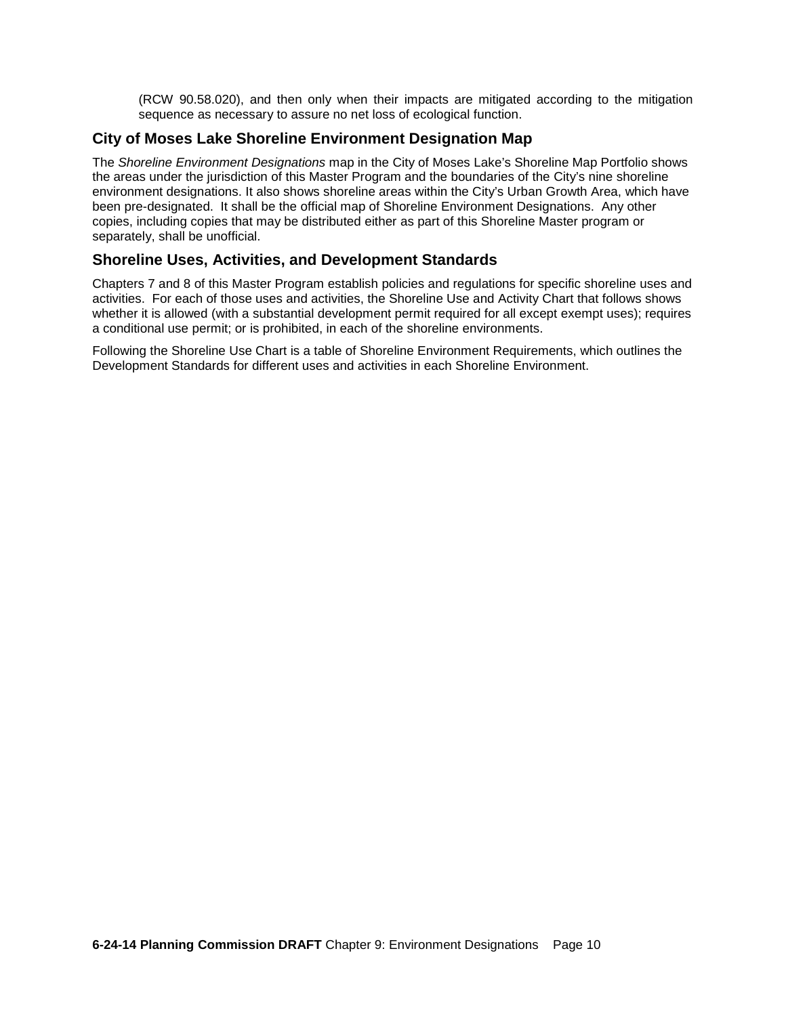(RCW 90.58.020), and then only when their impacts are mitigated according to the mitigation sequence as necessary to assure no net loss of ecological function.

# **City of Moses Lake Shoreline Environment Designation Map**

The *Shoreline Environment Designations* map in the City of Moses Lake's Shoreline Map Portfolio shows the areas under the jurisdiction of this Master Program and the boundaries of the City's nine shoreline environment designations. It also shows shoreline areas within the City's Urban Growth Area, which have been pre-designated. It shall be the official map of Shoreline Environment Designations. Any other copies, including copies that may be distributed either as part of this Shoreline Master program or separately, shall be unofficial.

# **Shoreline Uses, Activities, and Development Standards**

Chapters 7 and 8 of this Master Program establish policies and regulations for specific shoreline uses and activities. For each of those uses and activities, the Shoreline Use and Activity Chart that follows shows whether it is allowed (with a substantial development permit required for all except exempt uses); requires a conditional use permit; or is prohibited, in each of the shoreline environments.

Following the Shoreline Use Chart is a table of Shoreline Environment Requirements, which outlines the Development Standards for different uses and activities in each Shoreline Environment.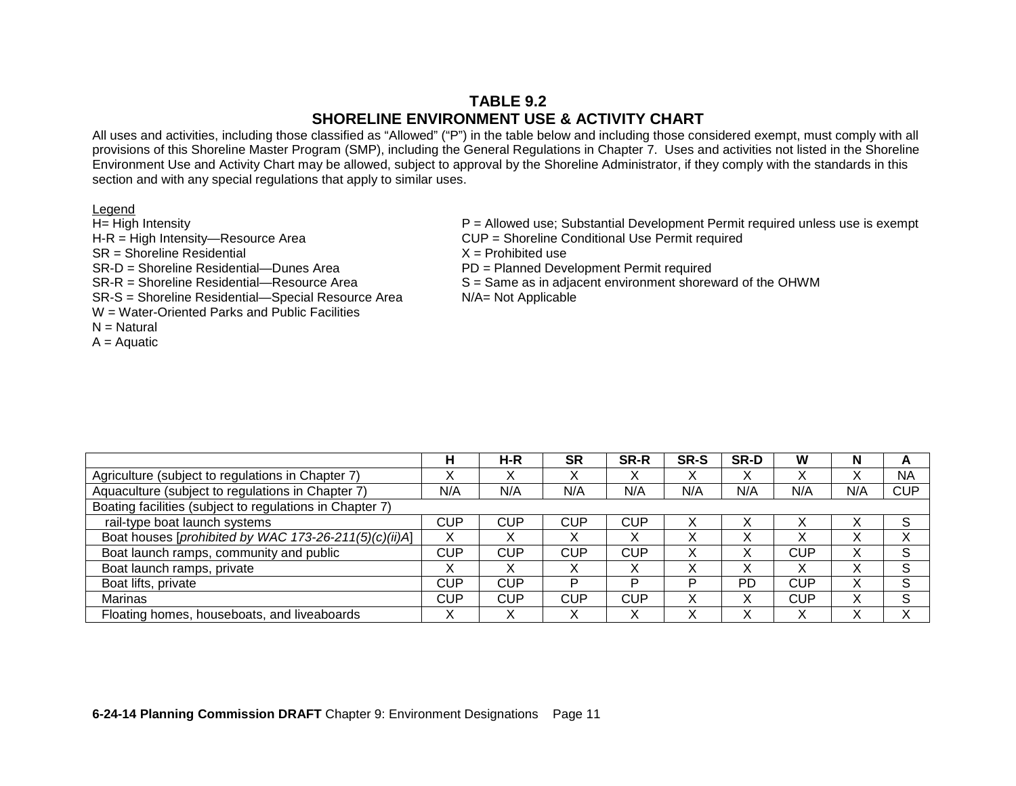# **TABLE 9.2 SHORELINE ENVIRONMENT USE & ACTIVITY CHART**

All uses and activities, including those classified as "Allowed" ("P") in the table below and including those considered exempt, must comply with all provisions of this Shoreline Master Program (SMP), including the General Regulations in Chapter 7. Uses and activities not listed in the Shoreline Environment Use and Activity Chart may be allowed, subject to approval by the Shoreline Administrator, if they comply with the standards in this section and with any special regulations that apply to similar uses.

| ıΓ<br>r<br>⋍<br>× | IO. |
|-------------------|-----|
|                   |     |

| H= High Intensity                                  | $P =$ Allowed use; Substantial Development Permit required unless use is exempt |
|----------------------------------------------------|---------------------------------------------------------------------------------|
| $H-R = High Intensity - Resource Area$             | CUP = Shoreline Conditional Use Permit required                                 |
| SR = Shoreline Residential                         | $X =$ Prohibited use                                                            |
| SR-D = Shoreline Residential—Dunes Area            | PD = Planned Development Permit required                                        |
| SR-R = Shoreline Residential—Resource Area         | S = Same as in adjacent environment shoreward of the OHWM                       |
| SR-S = Shoreline Residential-Special Resource Area | $N/A = Not Applicable$                                                          |
| W = Water-Oriented Parks and Public Facilities     |                                                                                 |
| N Notural                                          |                                                                                 |

- N = Natural
- $A =$  Aquatic

|                                                          | н          | H-R        | <b>SR</b>  | <b>SR-R</b>       | SR-S | SR-D | W                 | N   | A          |
|----------------------------------------------------------|------------|------------|------------|-------------------|------|------|-------------------|-----|------------|
| Agriculture (subject to regulations in Chapter 7)        | v<br>∧     | ∧          |            |                   | ∧    |      |                   |     | <b>NA</b>  |
| Aquaculture (subject to regulations in Chapter 7)        | N/A        | N/A        | N/A        | N/A               | N/A  | N/A  | N/A               | N/A | <b>CUP</b> |
| Boating facilities (subject to regulations in Chapter 7) |            |            |            |                   |      |      |                   |     |            |
| rail-type boat launch systems                            | CUP        | CUP        | <b>CUP</b> | CUP               |      |      |                   |     | S          |
| Boat houses [prohibited by WAC 173-26-211(5)(c)(ii)A]    | Х          |            |            |                   |      |      |                   |     |            |
| Boat launch ramps, community and public                  | <b>CUP</b> | CUP        | <b>CUP</b> | CUP               |      |      | CUP               | ⋏   | S          |
| Boat launch ramps, private                               | х          |            |            | $\checkmark$<br>⋏ |      |      | $\checkmark$      |     | c<br>ت     |
| Boat lifts, private                                      | <b>CUP</b> | <b>CUP</b> | D          | P                 | D    | PD   | CUP               |     | S          |
| Marinas                                                  | <b>CUP</b> | <b>CUP</b> | <b>CUP</b> | CUP               |      |      | CUP               | л   | c<br>O     |
| Floating homes, houseboats, and liveaboards              | X          | v          |            | v                 |      |      | $\checkmark$<br>⋏ |     | v          |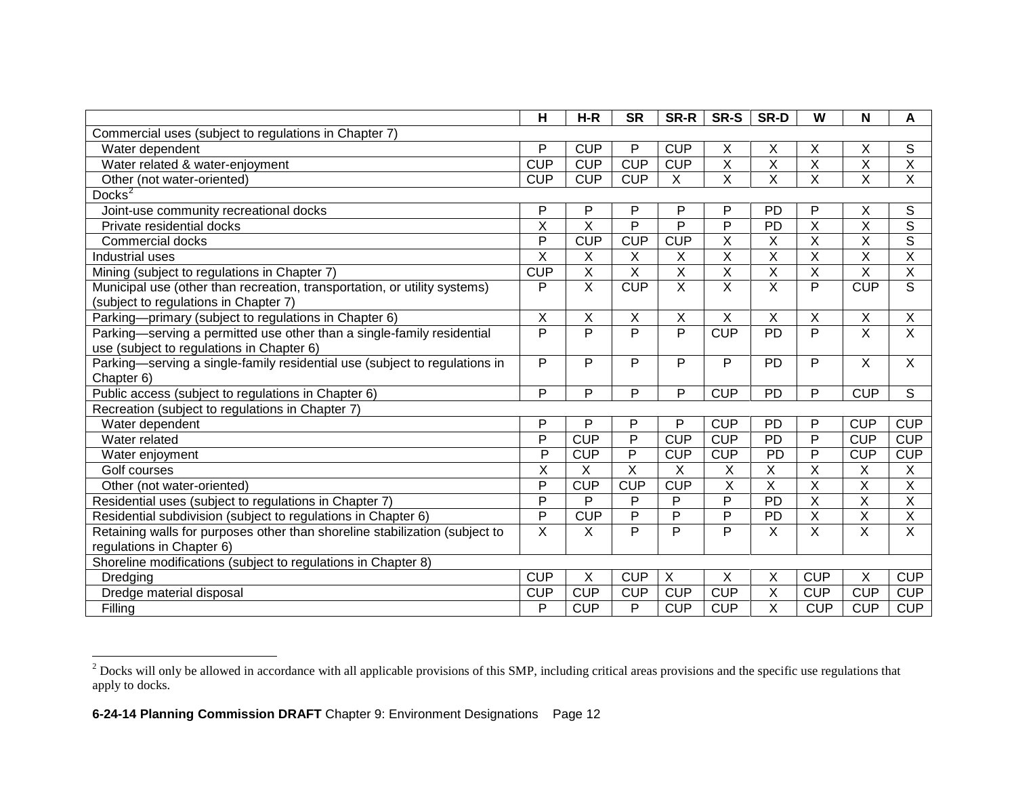<span id="page-11-0"></span>

|                                                                                                                     | H                       | $H-R$                   | <b>SR</b>               | SR-R                    | SR-S                    | SR-D                      | W                       | N              | A                       |
|---------------------------------------------------------------------------------------------------------------------|-------------------------|-------------------------|-------------------------|-------------------------|-------------------------|---------------------------|-------------------------|----------------|-------------------------|
| Commercial uses (subject to regulations in Chapter 7)                                                               |                         |                         |                         |                         |                         |                           |                         |                |                         |
| Water dependent                                                                                                     | P                       | <b>CUP</b>              | P                       | <b>CUP</b>              | X                       | X                         | X                       | Χ              | S                       |
| Water related & water-enjoyment                                                                                     | <b>CUP</b>              | <b>CUP</b>              | <b>CUP</b>              | <b>CUP</b>              | $\overline{\mathsf{x}}$ | $\overline{X}$            | $\overline{X}$          | X              | X                       |
| Other (not water-oriented)                                                                                          | <b>CUP</b>              | <b>CUP</b>              | <b>CUP</b>              | $\overline{X}$          | $\overline{\mathsf{x}}$ | $\overline{\mathsf{x}}$   | $\overline{\mathsf{x}}$ | $\overline{X}$ | $\overline{\mathsf{x}}$ |
| Docks $3$                                                                                                           |                         |                         |                         |                         |                         |                           |                         |                |                         |
| Joint-use community recreational docks                                                                              | P                       | P                       | P                       | P                       | P                       | PD                        | P                       | Χ              | S                       |
| Private residential docks                                                                                           | $\overline{\mathsf{x}}$ | $\overline{\mathsf{x}}$ | $\overline{P}$          | $\overline{P}$          | $\overline{P}$          | <b>PD</b>                 | $\overline{\mathsf{x}}$ | X              | $\overline{s}$          |
| Commercial docks                                                                                                    | P                       | <b>CUP</b>              | <b>CUP</b>              | <b>CUP</b>              | $\overline{\mathsf{x}}$ | X                         | X                       | X              | $\overline{s}$          |
| Industrial uses                                                                                                     | X                       | $\sf X$                 | $\sf X$                 | X                       | $\sf X$                 | $\sf X$                   | X                       | X              | X                       |
| Mining (subject to regulations in Chapter 7)                                                                        | <b>CUP</b>              | $\overline{X}$          | $\overline{\mathsf{x}}$ | $\overline{\mathsf{x}}$ | $\overline{\mathsf{x}}$ | $\overline{\mathsf{x}}$   | $\overline{\mathsf{x}}$ | X              | $\overline{\mathsf{x}}$ |
| Municipal use (other than recreation, transportation, or utility systems)<br>(subject to regulations in Chapter 7)  | P                       | $\overline{X}$          | <b>CUP</b>              | $\overline{X}$          | X                       | $\overline{\mathsf{x}}$   | P                       | <b>CUP</b>     | S                       |
| Parking-primary (subject to regulations in Chapter 6)                                                               | $\overline{\mathsf{x}}$ | $\overline{X}$          | $\overline{\mathsf{x}}$ | $\overline{\mathsf{x}}$ | $\overline{X}$          | $\overline{\mathsf{x}}$   | $\overline{\mathsf{x}}$ | X              | $\overline{\mathsf{x}}$ |
| Parking-serving a permitted use other than a single-family residential<br>use (subject to regulations in Chapter 6) | P                       | $\overline{P}$          | $\overline{P}$          | $\overline{P}$          | CUP                     | PD                        | P                       | $\overline{X}$ | $\overline{\mathsf{x}}$ |
| Parking-serving a single-family residential use (subject to regulations in<br>Chapter 6)                            | P                       | P                       | P                       | P                       | P                       | PD                        | P                       | X              | $\overline{X}$          |
| Public access (subject to regulations in Chapter 6)                                                                 | P                       | P                       | P                       | P                       | <b>CUP</b>              | <b>PD</b>                 | P                       | <b>CUP</b>     | S                       |
| Recreation (subject to regulations in Chapter 7)                                                                    |                         |                         |                         |                         |                         |                           |                         |                |                         |
| Water dependent                                                                                                     | P                       | P                       | $\mathsf{P}$            | P                       | <b>CUP</b>              | PD                        | P                       | <b>CUP</b>     | <b>CUP</b>              |
| Water related                                                                                                       | P                       | <b>CUP</b>              | $\overline{P}$          | CUP                     | <b>CUP</b>              | <b>PD</b>                 | $\overline{P}$          | <b>CUP</b>     | <b>CUP</b>              |
| Water enjoyment                                                                                                     | P                       | <b>CUP</b>              | P                       | <b>CUP</b>              | <b>CUP</b>              | PD                        | $\overline{P}$          | <b>CUP</b>     | <b>CUP</b>              |
| Golf courses                                                                                                        | X                       | X                       | X                       | X                       | X                       | $\pmb{\times}$            | $\sf X$                 | X              | Χ                       |
| Other (not water-oriented)                                                                                          | P                       | <b>CUP</b>              | <b>CUP</b>              | <b>CUP</b>              | X                       | X                         | X                       | $\sf X$        | $\overline{\mathsf{x}}$ |
| Residential uses (subject to regulations in Chapter 7)                                                              | P                       | P                       | P                       | P                       | P                       | PD                        | X                       | $\sf X$        | X                       |
| Residential subdivision (subject to regulations in Chapter 6)                                                       | P                       | <b>CUP</b>              | P                       | $\mathsf{P}$            | $\mathsf{P}$            | PD                        | $\sf X$                 | $\sf X$        | $\mathsf X$             |
| Retaining walls for purposes other than shoreline stabilization (subject to<br>regulations in Chapter 6)            | $\overline{X}$          | X                       | $\overline{P}$          | P                       | $\overline{P}$          | $\boldsymbol{\mathsf{X}}$ | $\overline{X}$          | X              | $\overline{\mathsf{x}}$ |
| Shoreline modifications (subject to regulations in Chapter 8)                                                       |                         |                         |                         |                         |                         |                           |                         |                |                         |
| Dredging                                                                                                            | CU <sub>P</sub>         | X                       | <b>CUP</b>              | X                       | X                       | X                         | <b>CUP</b>              | X              | <b>CUP</b>              |
| Dredge material disposal                                                                                            | <b>CUP</b>              | CUP                     | <b>CUP</b>              | <b>CUP</b>              | <b>CUP</b>              | X                         | <b>CUP</b>              | <b>CUP</b>     | <b>CUP</b>              |
| Filling                                                                                                             | P                       | CUP                     | $\overline{P}$          | <b>CUP</b>              | <b>CUP</b>              | $\overline{\mathsf{x}}$   | <b>CUP</b>              | <b>CUP</b>     | <b>CUP</b>              |

 $2^{2}$  Docks will only be allowed in accordance with all applicable provisions of this SMP, including critical areas provisions and the specific use regulations that apply to docks.  $\overline{a}$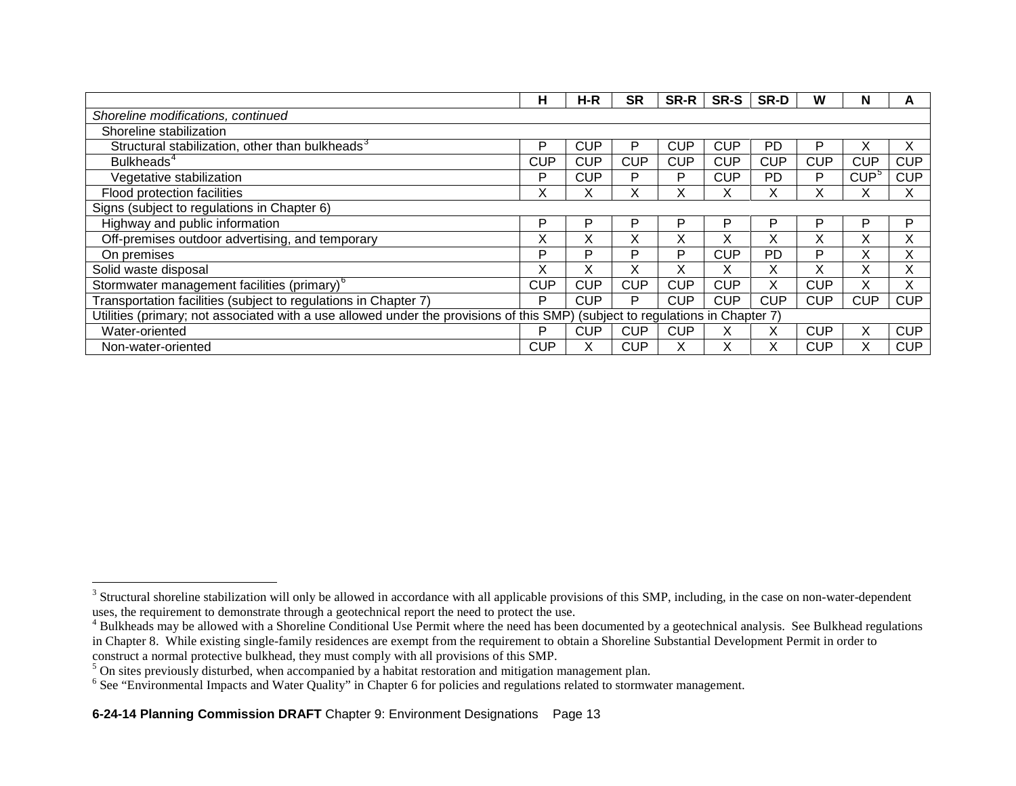<span id="page-12-3"></span><span id="page-12-2"></span><span id="page-12-1"></span><span id="page-12-0"></span>

|                                                                                         | н          | H-R        | <b>SR</b>  | SR-R                                  | SR-S       | SR-D       | w          | N          |            |
|-----------------------------------------------------------------------------------------|------------|------------|------------|---------------------------------------|------------|------------|------------|------------|------------|
| Shoreline modifications, continued                                                      |            |            |            |                                       |            |            |            |            |            |
| Shoreline stabilization                                                                 |            |            |            |                                       |            |            |            |            |            |
| Structural stabilization, other than bulkheads <sup>3</sup>                             | P          | <b>CUP</b> | P          | <b>CUP</b>                            | <b>CUP</b> | PD         | P          |            |            |
| Bulkheads <sup>4</sup>                                                                  | <b>CUP</b> | <b>CUP</b> | <b>CUP</b> | <b>CUP</b>                            | <b>CUP</b> | <b>CUP</b> | <b>CUP</b> | <b>CUP</b> | <b>CUP</b> |
| Vegetative stabilization                                                                | P          | <b>CUP</b> | P          | P                                     | <b>CUP</b> | <b>PD</b>  | P          | $CUP^5$    | <b>CUP</b> |
| Flood protection facilities                                                             | X          | х          | X          | x                                     |            |            |            |            |            |
| Signs (subject to regulations in Chapter 6)                                             |            |            |            |                                       |            |            |            |            |            |
| Highway and public information                                                          | P          | P          | P          | P                                     | P          | P          | P          | Þ          | P          |
| Off-premises outdoor advertising, and temporary                                         | Χ          | X          | X          | X                                     | v          | x          | X.         | ⌒          | X          |
| On premises                                                                             | P          | P          | P          | P                                     | <b>CUP</b> | <b>PD</b>  | P          |            | ^          |
| Solid waste disposal                                                                    | X          | X          | X          | X                                     |            |            |            |            |            |
| Stormwater management facilities (primary) <sup>6</sup>                                 | <b>CUP</b> | <b>CUP</b> | <b>CUP</b> | <b>CUP</b>                            | <b>CUP</b> |            | <b>CUP</b> | v          |            |
| Transportation facilities (subject to regulations in Chapter 7)                         | P          | <b>CUP</b> | P          | <b>CUP</b>                            | <b>CUP</b> | <b>CUP</b> | <b>CUP</b> | <b>CUP</b> | <b>CUP</b> |
| Utilities (primary; not associated with a use allowed under the provisions of this SMP) |            |            |            | (subject to regulations in Chapter 7) |            |            |            |            |            |
| Water-oriented                                                                          | P          | <b>CUP</b> | <b>CUP</b> | <b>CUP</b>                            |            |            | <b>CUP</b> | X          | <b>CUP</b> |
| Non-water-oriented                                                                      | <b>CUP</b> | x          | <b>CUP</b> |                                       |            |            | <b>CUP</b> |            | <b>CUP</b> |

 $3$  Structural shoreline stabilization will only be allowed in accordance with all applicable provisions of this SMP, including, in the case on non-water-dependent uses, the requirement to demonstrate through a geotechnical report the need to protect the use.

<sup>&</sup>lt;sup>4</sup> Bulkheads may be allowed with a Shoreline Conditional Use Permit where the need has been documented by a geotechnical analysis. See Bulkhead regulations in Chapter 8. While existing single-family residences are exempt from the requirement to obtain a Shoreline Substantial Development Permit in order to construct a normal protective bulkhead, they must comply with all provisions of this SMP.

<sup>&</sup>lt;sup>5</sup> On sites previously disturbed, when accompanied by a habitat restoration and mitigation management plan.

<sup>&</sup>lt;sup>6</sup> See "Environmental Impacts and Water Quality" in Chapter 6 for policies and regulations related to stormwater management.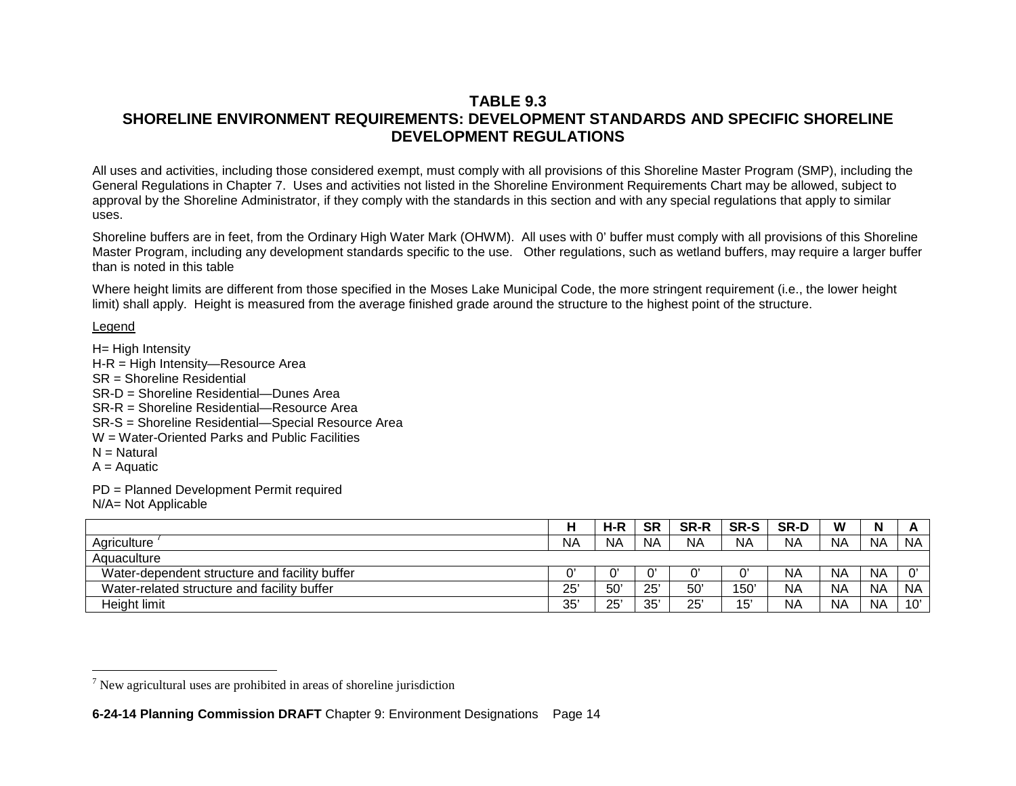# <span id="page-13-0"></span>**TABLE 9.3 SHORELINE ENVIRONMENT REQUIREMENTS: DEVELOPMENT STANDARDS AND SPECIFIC SHORELINE DEVELOPMENT REGULATIONS**

All uses and activities, including those considered exempt, must comply with all provisions of this Shoreline Master Program (SMP), including the General Regulations in Chapter 7. Uses and activities not listed in the Shoreline Environment Requirements Chart may be allowed, subject to approval by the Shoreline Administrator, if they comply with the standards in this section and with any special regulations that apply to similar uses.

Shoreline buffers are in feet, from the Ordinary High Water Mark (OHWM). All uses with 0' buffer must comply with all provisions of this Shoreline Master Program, including any development standards specific to the use. Other regulations, such as wetland buffers, may require a larger buffer than is noted in this table

Where height limits are different from those specified in the Moses Lake Municipal Code, the more stringent requirement (i.e., the lower height limit) shall apply. Height is measured from the average finished grade around the structure to the highest point of the structure.

## Legend

H= High Intensity H-R = High Intensity—Resource Area SR = Shoreline Residential SR-D = Shoreline Residential—Dunes Area SR-R = Shoreline Residential—Resource Area SR-S = Shoreline Residential—Special Resource Area W = Water-Oriented Parks and Public Facilities  $N =$  Natural  $A = A$ quatic

PD = Planned Development Permit required

N/A= Not Applicable

|                                               |     | $H-R$        | <b>SR</b> | <b>SR-R</b> | <b>SR-S</b>   | <b>SR-D</b> | W         | N         |           |
|-----------------------------------------------|-----|--------------|-----------|-------------|---------------|-------------|-----------|-----------|-----------|
| Agriculture                                   | N۵  | <b>NA</b>    | <b>NA</b> | <b>NA</b>   | <b>NA</b>     | <b>NA</b>   | <b>NA</b> | <b>NA</b> | <b>NA</b> |
| Aquaculture                                   |     |              |           |             |               |             |           |           |           |
| Water-dependent structure and facility buffer |     | C.           | $\sim$    | n,          | 0             | <b>NA</b>   | <b>NA</b> | <b>NA</b> | $\sim$    |
| Water-related structure and facility buffer   | 25' | $50^{\circ}$ | 25'       | 50'         | $150^{\circ}$ | <b>NA</b>   | <b>NA</b> | <b>NA</b> | <b>NA</b> |
| Height limit                                  | 35' | 25'          | 35'       | 25'         | 15'           | <b>NA</b>   | <b>NA</b> | <b>NA</b> | 10'       |

 $<sup>7</sup>$  New agricultural uses are prohibited in areas of shoreline jurisdiction</sup>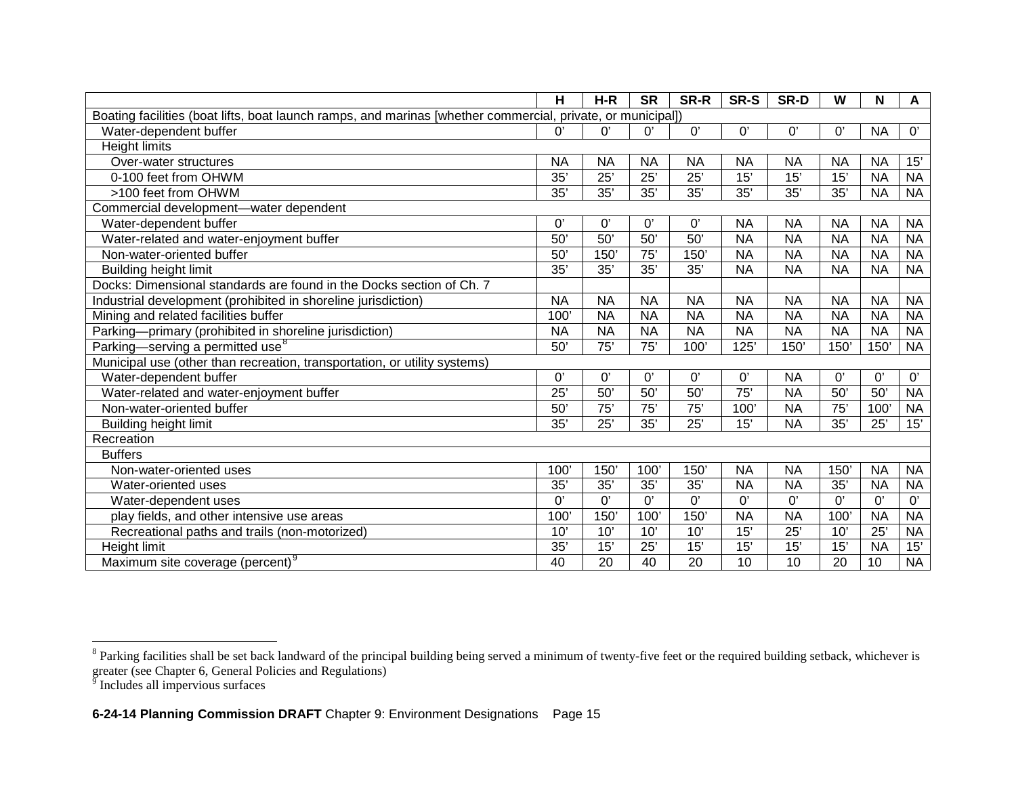<span id="page-14-1"></span><span id="page-14-0"></span>

|                                                                                                             | н               | $H-R$            | <b>SR</b>       | SR-R            | SR-S            | SR-D           | W                | N               | A         |
|-------------------------------------------------------------------------------------------------------------|-----------------|------------------|-----------------|-----------------|-----------------|----------------|------------------|-----------------|-----------|
| Boating facilities (boat lifts, boat launch ramps, and marinas [whether commercial, private, or municipal]) |                 |                  |                 |                 |                 |                |                  |                 |           |
| Water-dependent buffer                                                                                      | 0'              | $\Omega$         | U,              | 0'              | 0'              | 0'             | 0'               | <b>NA</b>       | 0'        |
| <b>Height limits</b>                                                                                        |                 |                  |                 |                 |                 |                |                  |                 |           |
| Over-water structures                                                                                       | <b>NA</b>       | <b>NA</b>        | <b>NA</b>       | <b>NA</b>       | <b>NA</b>       | <b>NA</b>      | <b>NA</b>        | <b>NA</b>       | 15'       |
| 0-100 feet from OHWM                                                                                        | 35'             | 25'              | 25'             | 25'             | 15'             | 15'            | 15'              | <b>NA</b>       | <b>NA</b> |
| >100 feet from OHWM                                                                                         | 35'             | 35'              | 35'             | 35'             | 35'             | 35'            | 35'              | <b>NA</b>       | <b>NA</b> |
| Commercial development-water dependent                                                                      |                 |                  |                 |                 |                 |                |                  |                 |           |
| Water-dependent buffer                                                                                      | $\Omega$        | $0^{\prime}$     | 0'              | 0'              | <b>NA</b>       | <b>NA</b>      | <b>NA</b>        | <b>NA</b>       | <b>NA</b> |
| Water-related and water-enjoyment buffer                                                                    | 50              | 50'              | 50 <sup>°</sup> | 50'             | <b>NA</b>       | <b>NA</b>      | <b>NA</b>        | <b>NA</b>       | <b>NA</b> |
| Non-water-oriented buffer                                                                                   | 50'             | 150'             | 75'             | 150             | <b>NA</b>       | <b>NA</b>      | <b>NA</b>        | <b>NA</b>       | <b>NA</b> |
| <b>Building height limit</b>                                                                                | 35'             | 35'              | 35'             | 35'             | <b>NA</b>       | <b>NA</b>      | <b>NA</b>        | <b>NA</b>       | <b>NA</b> |
| Docks: Dimensional standards are found in the Docks section of Ch. 7                                        |                 |                  |                 |                 |                 |                |                  |                 |           |
| Industrial development (prohibited in shoreline jurisdiction)                                               | <b>NA</b>       | <b>NA</b>        | <b>NA</b>       | <b>NA</b>       | <b>NA</b>       | <b>NA</b>      | <b>NA</b>        | <b>NA</b>       | <b>NA</b> |
| Mining and related facilities buffer                                                                        | $100^{\circ}$   | <b>NA</b>        | <b>NA</b>       | <b>NA</b>       | <b>NA</b>       | <b>NA</b>      | <b>NA</b>        | <b>NA</b>       | <b>NA</b> |
| Parking-primary (prohibited in shoreline jurisdiction)                                                      | <b>NA</b>       | <b>NA</b>        | <b>NA</b>       | <b>NA</b>       | <b>NA</b>       | <b>NA</b>      | <b>NA</b>        | <b>NA</b>       | <b>NA</b> |
| Parking-serving a permitted use <sup>8</sup>                                                                | 50'             | 75'              | 75'             | 100'            | 125'            | 150            | 150'             | 150'            | <b>NA</b> |
| Municipal use (other than recreation, transportation, or utility systems)                                   |                 |                  |                 |                 |                 |                |                  |                 |           |
| Water-dependent buffer                                                                                      | 0'              | 0'               | 0'              | 0'              | 0'              | <b>NA</b>      | 0'               | 0'              | 0'        |
| Water-related and water-enjoyment buffer                                                                    | $\overline{25}$ | 50'              | 50'             | 50'             | $\overline{75}$ | <b>NA</b>      | 50'              | 50 <sup>°</sup> | <b>NA</b> |
| Non-water-oriented buffer                                                                                   | 50 <sup>°</sup> | $\overline{75'}$ | $\overline{75}$ | $\overline{75}$ | 100'            | <b>NA</b>      | $\overline{75'}$ | 100             | <b>NA</b> |
| <b>Building height limit</b>                                                                                | 35'             | 25'              | 35'             | 25'             | 15'             | <b>NA</b>      | 35'              | 25'             | 15'       |
| Recreation                                                                                                  |                 |                  |                 |                 |                 |                |                  |                 |           |
| <b>Buffers</b>                                                                                              |                 |                  |                 |                 |                 |                |                  |                 |           |
| Non-water-oriented uses                                                                                     | $100^{\circ}$   | 150              | 100             | 150             | <b>NA</b>       | <b>NA</b>      | 150              | <b>NA</b>       | <b>NA</b> |
| Water-oriented uses                                                                                         | 35'             | 35'              | 35'             | 35'             | <b>NA</b>       | <b>NA</b>      | 35'              | <b>NA</b>       | <b>NA</b> |
| Water-dependent uses                                                                                        | 0'              | $\overline{0'}$  | $\overline{0}$  | 0'              | 0'              | $\overline{0}$ | 0'               | 0'              | 0'        |
| play fields, and other intensive use areas                                                                  | 100'            | 150'             | 100             | 150'            | <b>NA</b>       | <b>NA</b>      | 100'             | <b>NA</b>       | <b>NA</b> |
| Recreational paths and trails (non-motorized)                                                               | 10'             | 10'              | 10'             | 10'             | 15'             | 25'            | 10'              | $\overline{25}$ | <b>NA</b> |
| Height limit                                                                                                | 35'             | 15'              | 25'             | 15'             | 15'             | 15'            | 15'              | <b>NA</b>       | 15'       |
| Maximum site coverage (percent) <sup>9</sup>                                                                | 40              | $\overline{20}$  | 40              | 20              | $\overline{10}$ | 10             | 20               | 10              | <b>NA</b> |

 $8$  Parking facilities shall be set back landward of the principal building being served a minimum of twenty-five feet or the required building setback, whichever is greater (see Chapter 6, General Policies and Regulations)<br><sup>9</sup> Includes all impervious surfaces